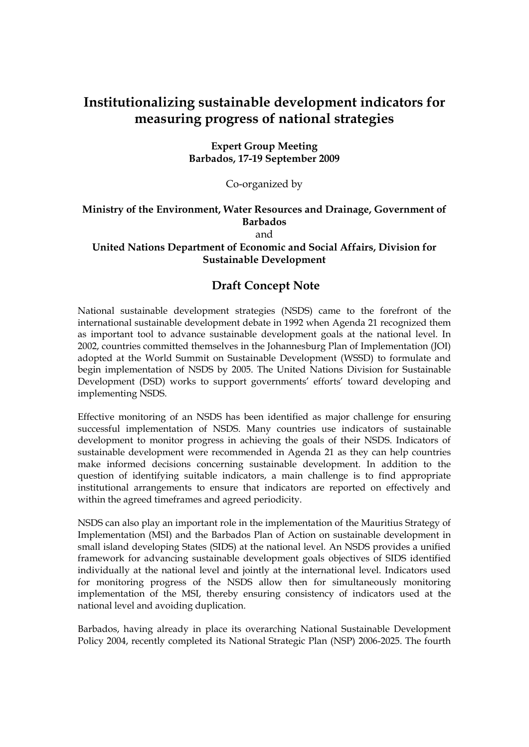## **Institutionalizing sustainable development indicators for measuring progress of national strategies**

**Expert Group Meeting Barbados, 17-19 September 2009** 

Co-organized by

## **Ministry of the Environment, Water Resources and Drainage, Government of Barbados**

and

## **United Nations Department of Economic and Social Affairs, Division for Sustainable Development**

## **Draft Concept Note**

National sustainable development strategies (NSDS) came to the forefront of the international sustainable development debate in 1992 when Agenda 21 recognized them as important tool to advance sustainable development goals at the national level. In 2002, countries committed themselves in the Johannesburg Plan of Implementation (JOI) adopted at the World Summit on Sustainable Development (WSSD) to formulate and begin implementation of NSDS by 2005. The United Nations Division for Sustainable Development (DSD) works to support governments' efforts' toward developing and implementing NSDS.

Effective monitoring of an NSDS has been identified as major challenge for ensuring successful implementation of NSDS. Many countries use indicators of sustainable development to monitor progress in achieving the goals of their NSDS. Indicators of sustainable development were recommended in Agenda 21 as they can help countries make informed decisions concerning sustainable development. In addition to the question of identifying suitable indicators, a main challenge is to find appropriate institutional arrangements to ensure that indicators are reported on effectively and within the agreed timeframes and agreed periodicity.

NSDS can also play an important role in the implementation of the Mauritius Strategy of Implementation (MSI) and the Barbados Plan of Action on sustainable development in small island developing States (SIDS) at the national level. An NSDS provides a unified framework for advancing sustainable development goals objectives of SIDS identified individually at the national level and jointly at the international level. Indicators used for monitoring progress of the NSDS allow then for simultaneously monitoring implementation of the MSI, thereby ensuring consistency of indicators used at the national level and avoiding duplication.

Barbados, having already in place its overarching National Sustainable Development Policy 2004, recently completed its National Strategic Plan (NSP) 2006-2025. The fourth